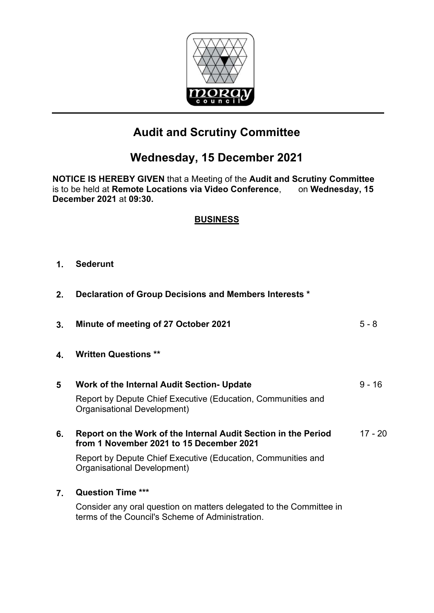

# **Audit and Scrutiny Committee**

# **Wednesday, 15 December 2021**

**NOTICE IS HEREBY GIVEN** that a Meeting of the **Audit and Scrutiny Committee** is to be held at **Remote Locations via Video Conference**, on **Wednesday, 15 December 2021** at **09:30.** 

### **BUSINESS**

#### **1. Sederunt**

| 2. | Declaration of Group Decisions and Members Interests *                                                                  |           |
|----|-------------------------------------------------------------------------------------------------------------------------|-----------|
| 3. | Minute of meeting of 27 October 2021                                                                                    | $5 - 8$   |
| 4. | <b>Written Questions **</b>                                                                                             |           |
| 5  | Work of the Internal Audit Section- Update                                                                              | $9 - 16$  |
|    | Report by Depute Chief Executive (Education, Communities and<br>Organisational Development)                             |           |
| 6. | Report on the Work of the Internal Audit Section in the Period<br>from 1 November 2021 to 15 December 2021              | $17 - 20$ |
|    | Report by Depute Chief Executive (Education, Communities and<br>Organisational Development)                             |           |
| 7. | <b>Question Time ***</b>                                                                                                |           |
|    | Consider any oral question on matters delegated to the Committee in<br>terms of the Council's Scheme of Administration. |           |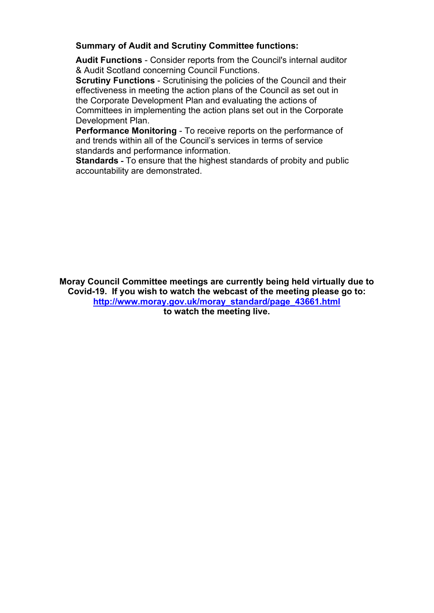#### **Summary of Audit and Scrutiny Committee functions:**

**Audit Functions** - Consider reports from the Council's internal auditor & Audit Scotland concerning Council Functions.

**Scrutiny Functions** - Scrutinising the policies of the Council and their effectiveness in meeting the action plans of the Council as set out in the Corporate Development Plan and evaluating the actions of Committees in implementing the action plans set out in the Corporate Development Plan.

**Performance Monitoring** - To receive reports on the performance of and trends within all of the Council's services in terms of service standards and performance information.

**Standards -** To ensure that the highest standards of probity and public accountability are demonstrated.

**Moray Council Committee meetings are currently being held virtually due to Covid-19. If you wish to watch the webcast of the meeting please go to: [http://www.moray.gov.uk/moray\\_standard/page\\_43661.html](http://www.moray.gov.uk/moray_standard/page_43661.html) to watch the meeting live.**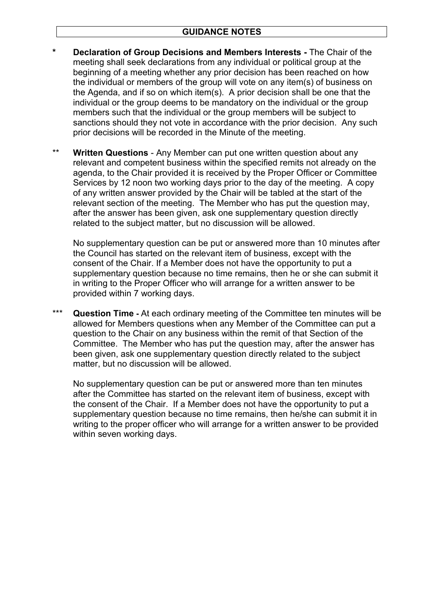- **\* Declaration of Group Decisions and Members Interests** The Chair of the meeting shall seek declarations from any individual or political group at the beginning of a meeting whether any prior decision has been reached on how the individual or members of the group will vote on any item(s) of business on the Agenda, and if so on which item(s). A prior decision shall be one that the individual or the group deems to be mandatory on the individual or the group members such that the individual or the group members will be subject to sanctions should they not vote in accordance with the prior decision. Any such prior decisions will be recorded in the Minute of the meeting.
- \*\* **Written Questions** Any Member can put one written question about any relevant and competent business within the specified remits not already on the agenda, to the Chair provided it is received by the Proper Officer or Committee Services by 12 noon two working days prior to the day of the meeting. A copy of any written answer provided by the Chair will be tabled at the start of the relevant section of the meeting. The Member who has put the question may, after the answer has been given, ask one supplementary question directly related to the subject matter, but no discussion will be allowed.

No supplementary question can be put or answered more than 10 minutes after the Council has started on the relevant item of business, except with the consent of the Chair. If a Member does not have the opportunity to put a supplementary question because no time remains, then he or she can submit it in writing to the Proper Officer who will arrange for a written answer to be provided within 7 working days.

\*\*\* **Question Time -** At each ordinary meeting of the Committee ten minutes will be allowed for Members questions when any Member of the Committee can put a question to the Chair on any business within the remit of that Section of the Committee. The Member who has put the question may, after the answer has been given, ask one supplementary question directly related to the subject matter, but no discussion will be allowed.

No supplementary question can be put or answered more than ten minutes after the Committee has started on the relevant item of business, except with the consent of the Chair. If a Member does not have the opportunity to put a supplementary question because no time remains, then he/she can submit it in writing to the proper officer who will arrange for a written answer to be provided within seven working days.